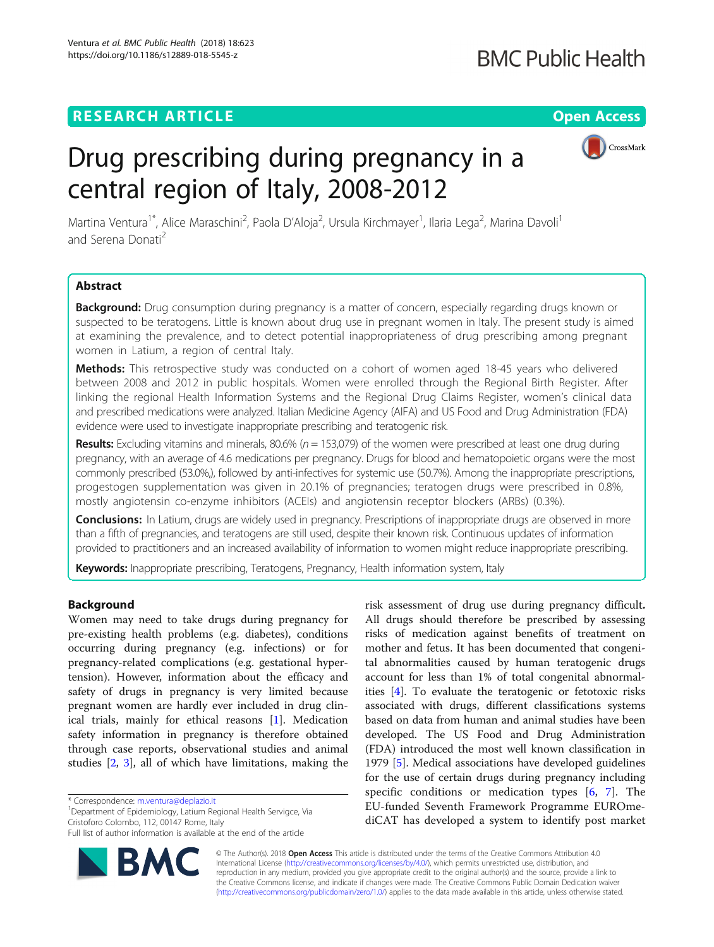## **RESEARCH ARTICLE Example 2014 12:30 The CONSTRUCTION CONSTRUCTION Open Access**

# CrossMark

## Drug prescribing during pregnancy in a central region of Italy, 2008-2012

Martina Ventura<sup>1\*</sup>, Alice Maraschini<sup>2</sup>, Paola D'Aloja<sup>2</sup>, Ursula Kirchmayer<sup>1</sup>, Ilaria Lega<sup>2</sup>, Marina Davoli<sup>1</sup> and Serena Donati<sup>2</sup>

## Abstract

**Background:** Drug consumption during pregnancy is a matter of concern, especially regarding drugs known or suspected to be teratogens. Little is known about drug use in pregnant women in Italy. The present study is aimed at examining the prevalence, and to detect potential inappropriateness of drug prescribing among pregnant women in Latium, a region of central Italy.

Methods: This retrospective study was conducted on a cohort of women aged 18-45 years who delivered between 2008 and 2012 in public hospitals. Women were enrolled through the Regional Birth Register. After linking the regional Health Information Systems and the Regional Drug Claims Register, women's clinical data and prescribed medications were analyzed. Italian Medicine Agency (AIFA) and US Food and Drug Administration (FDA) evidence were used to investigate inappropriate prescribing and teratogenic risk.

Results: Excluding vitamins and minerals, 80.6% ( $n = 153,079$ ) of the women were prescribed at least one drug during pregnancy, with an average of 4.6 medications per pregnancy. Drugs for blood and hematopoietic organs were the most commonly prescribed (53.0%,), followed by anti-infectives for systemic use (50.7%). Among the inappropriate prescriptions, progestogen supplementation was given in 20.1% of pregnancies; teratogen drugs were prescribed in 0.8%, mostly angiotensin co-enzyme inhibitors (ACEIs) and angiotensin receptor blockers (ARBs) (0.3%).

**Conclusions:** In Latium, drugs are widely used in pregnancy. Prescriptions of inappropriate drugs are observed in more than a fifth of pregnancies, and teratogens are still used, despite their known risk. Continuous updates of information provided to practitioners and an increased availability of information to women might reduce inappropriate prescribing.

Keywords: Inappropriate prescribing, Teratogens, Pregnancy, Health information system, Italy

## Background

Women may need to take drugs during pregnancy for pre-existing health problems (e.g. diabetes), conditions occurring during pregnancy (e.g. infections) or for pregnancy-related complications (e.g. gestational hypertension). However, information about the efficacy and safety of drugs in pregnancy is very limited because pregnant women are hardly ever included in drug clinical trials, mainly for ethical reasons [\[1](#page-7-0)]. Medication safety information in pregnancy is therefore obtained through case reports, observational studies and animal studies [\[2](#page-7-0), [3](#page-7-0)], all of which have limitations, making the

\* Correspondence: [m.ventura@deplazio.it](mailto:m.ventura@deplazio.it) <sup>1</sup>

<sup>1</sup>Department of Epidemiology, Latium Regional Health Servigce, Via Cristoforo Colombo, 112, 00147 Rome, Italy

Full list of author information is available at the end of the article



risk assessment of drug use during pregnancy difficult. All drugs should therefore be prescribed by assessing risks of medication against benefits of treatment on mother and fetus. It has been documented that congenital abnormalities caused by human teratogenic drugs account for less than 1% of total congenital abnormalities [\[4\]](#page-7-0). To evaluate the teratogenic or fetotoxic risks associated with drugs, different classifications systems based on data from human and animal studies have been developed. The US Food and Drug Administration (FDA) introduced the most well known classification in 1979 [[5\]](#page-7-0). Medical associations have developed guidelines for the use of certain drugs during pregnancy including specific conditions or medication types  $[6, 7]$  $[6, 7]$  $[6, 7]$  $[6, 7]$  $[6, 7]$ . The EU-funded Seventh Framework Programme EUROmediCAT has developed a system to identify post market

© The Author(s). 2018 Open Access This article is distributed under the terms of the Creative Commons Attribution 4.0 International License [\(http://creativecommons.org/licenses/by/4.0/](http://creativecommons.org/licenses/by/4.0/)), which permits unrestricted use, distribution, and reproduction in any medium, provided you give appropriate credit to the original author(s) and the source, provide a link to the Creative Commons license, and indicate if changes were made. The Creative Commons Public Domain Dedication waiver [\(http://creativecommons.org/publicdomain/zero/1.0/](http://creativecommons.org/publicdomain/zero/1.0/)) applies to the data made available in this article, unless otherwise stated.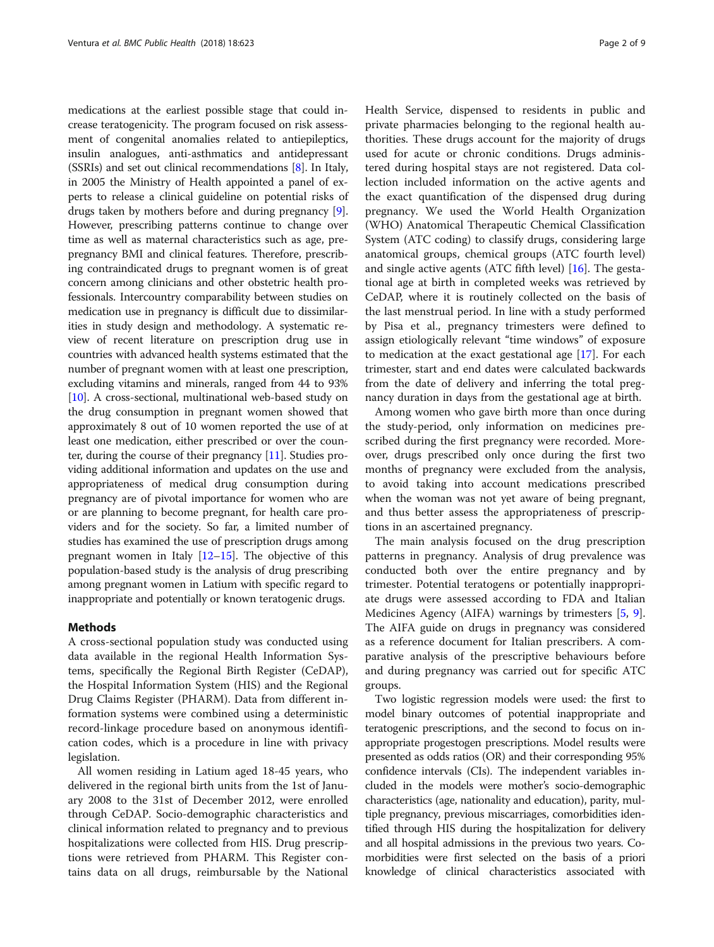medications at the earliest possible stage that could increase teratogenicity. The program focused on risk assessment of congenital anomalies related to antiepileptics, insulin analogues, anti-asthmatics and antidepressant (SSRIs) and set out clinical recommendations [\[8](#page-7-0)]. In Italy, in 2005 the Ministry of Health appointed a panel of experts to release a clinical guideline on potential risks of drugs taken by mothers before and during pregnancy [[9](#page-7-0)]. However, prescribing patterns continue to change over time as well as maternal characteristics such as age, prepregnancy BMI and clinical features. Therefore, prescribing contraindicated drugs to pregnant women is of great concern among clinicians and other obstetric health professionals. Intercountry comparability between studies on medication use in pregnancy is difficult due to dissimilarities in study design and methodology. A systematic review of recent literature on prescription drug use in countries with advanced health systems estimated that the number of pregnant women with at least one prescription, excluding vitamins and minerals, ranged from 44 to 93% [[10](#page-7-0)]. A cross-sectional, multinational web-based study on the drug consumption in pregnant women showed that approximately 8 out of 10 women reported the use of at least one medication, either prescribed or over the counter, during the course of their pregnancy [\[11\]](#page-7-0). Studies providing additional information and updates on the use and appropriateness of medical drug consumption during pregnancy are of pivotal importance for women who are or are planning to become pregnant, for health care providers and for the society. So far, a limited number of studies has examined the use of prescription drugs among pregnant women in Italy  $[12-15]$  $[12-15]$  $[12-15]$  $[12-15]$ . The objective of this population-based study is the analysis of drug prescribing among pregnant women in Latium with specific regard to inappropriate and potentially or known teratogenic drugs.

#### Methods

A cross-sectional population study was conducted using data available in the regional Health Information Systems, specifically the Regional Birth Register (CeDAP), the Hospital Information System (HIS) and the Regional Drug Claims Register (PHARM). Data from different information systems were combined using a deterministic record-linkage procedure based on anonymous identification codes, which is a procedure in line with privacy legislation.

All women residing in Latium aged 18-45 years, who delivered in the regional birth units from the 1st of January 2008 to the 31st of December 2012, were enrolled through CeDAP. Socio-demographic characteristics and clinical information related to pregnancy and to previous hospitalizations were collected from HIS. Drug prescriptions were retrieved from PHARM. This Register contains data on all drugs, reimbursable by the National Health Service, dispensed to residents in public and private pharmacies belonging to the regional health authorities. These drugs account for the majority of drugs used for acute or chronic conditions. Drugs administered during hospital stays are not registered. Data collection included information on the active agents and the exact quantification of the dispensed drug during pregnancy. We used the World Health Organization (WHO) Anatomical Therapeutic Chemical Classification System (ATC coding) to classify drugs, considering large anatomical groups, chemical groups (ATC fourth level) and single active agents (ATC fifth level) [\[16](#page-7-0)]. The gestational age at birth in completed weeks was retrieved by CeDAP, where it is routinely collected on the basis of the last menstrual period. In line with a study performed by Pisa et al., pregnancy trimesters were defined to assign etiologically relevant "time windows" of exposure to medication at the exact gestational age [\[17](#page-8-0)]. For each trimester, start and end dates were calculated backwards from the date of delivery and inferring the total pregnancy duration in days from the gestational age at birth.

Among women who gave birth more than once during the study-period, only information on medicines prescribed during the first pregnancy were recorded. Moreover, drugs prescribed only once during the first two months of pregnancy were excluded from the analysis, to avoid taking into account medications prescribed when the woman was not yet aware of being pregnant, and thus better assess the appropriateness of prescriptions in an ascertained pregnancy.

The main analysis focused on the drug prescription patterns in pregnancy. Analysis of drug prevalence was conducted both over the entire pregnancy and by trimester. Potential teratogens or potentially inappropriate drugs were assessed according to FDA and Italian Medicines Agency (AIFA) warnings by trimesters [[5](#page-7-0), [9](#page-7-0)]. The AIFA guide on drugs in pregnancy was considered as a reference document for Italian prescribers. A comparative analysis of the prescriptive behaviours before and during pregnancy was carried out for specific ATC groups.

Two logistic regression models were used: the first to model binary outcomes of potential inappropriate and teratogenic prescriptions, and the second to focus on inappropriate progestogen prescriptions. Model results were presented as odds ratios (OR) and their corresponding 95% confidence intervals (CIs). The independent variables included in the models were mother's socio-demographic characteristics (age, nationality and education), parity, multiple pregnancy, previous miscarriages, comorbidities identified through HIS during the hospitalization for delivery and all hospital admissions in the previous two years. Comorbidities were first selected on the basis of a priori knowledge of clinical characteristics associated with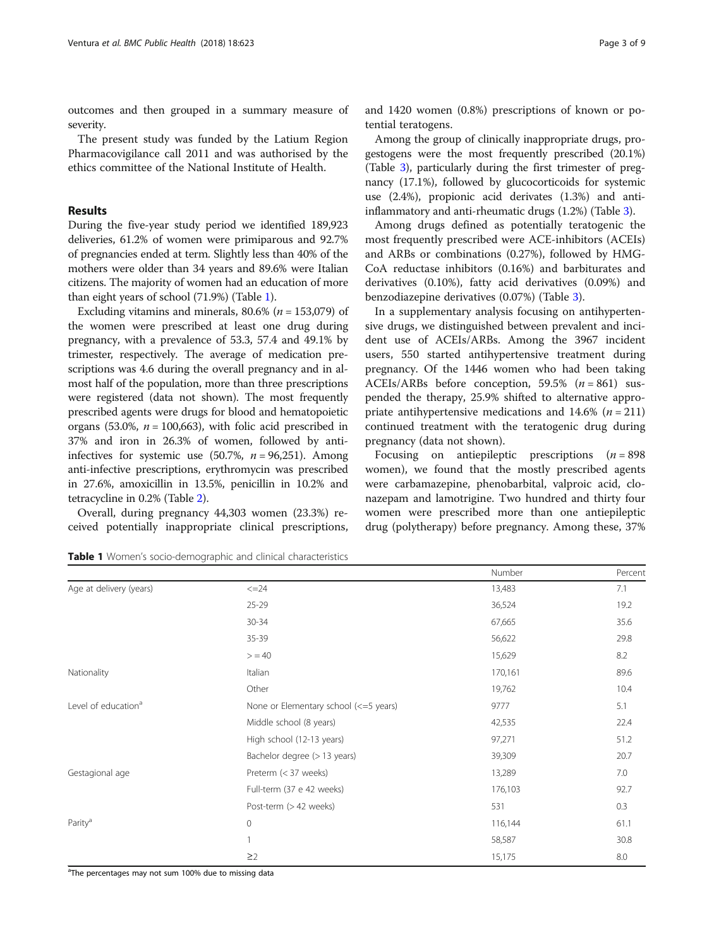outcomes and then grouped in a summary measure of severity.

The present study was funded by the Latium Region Pharmacovigilance call 2011 and was authorised by the ethics committee of the National Institute of Health.

## Results

During the five-year study period we identified 189,923 deliveries, 61.2% of women were primiparous and 92.7% of pregnancies ended at term. Slightly less than 40% of the mothers were older than 34 years and 89.6% were Italian citizens. The majority of women had an education of more than eight years of school (71.9%) (Table 1).

Excluding vitamins and minerals,  $80.6\%$  ( $n = 153,079$ ) of the women were prescribed at least one drug during pregnancy, with a prevalence of 53.3, 57.4 and 49.1% by trimester, respectively. The average of medication prescriptions was 4.6 during the overall pregnancy and in almost half of the population, more than three prescriptions were registered (data not shown). The most frequently prescribed agents were drugs for blood and hematopoietic organs (53.0%,  $n = 100,663$ ), with folic acid prescribed in 37% and iron in 26.3% of women, followed by antiinfectives for systemic use  $(50.7\%, n = 96,251)$ . Among anti-infective prescriptions, erythromycin was prescribed in 27.6%, amoxicillin in 13.5%, penicillin in 10.2% and tetracycline in 0.2% (Table [2\)](#page-3-0).

Overall, during pregnancy 44,303 women (23.3%) received potentially inappropriate clinical prescriptions,

and 1420 women (0.8%) prescriptions of known or potential teratogens.

Among the group of clinically inappropriate drugs, progestogens were the most frequently prescribed (20.1%) (Table [3\)](#page-4-0), particularly during the first trimester of pregnancy (17.1%), followed by glucocorticoids for systemic use (2.4%), propionic acid derivates (1.3%) and antiinflammatory and anti-rheumatic drugs (1.2%) (Table [3\)](#page-4-0).

Among drugs defined as potentially teratogenic the most frequently prescribed were ACE-inhibitors (ACEIs) and ARBs or combinations (0.27%), followed by HMG-CoA reductase inhibitors (0.16%) and barbiturates and derivatives (0.10%), fatty acid derivatives (0.09%) and benzodiazepine derivatives (0.07%) (Table [3\)](#page-4-0).

In a supplementary analysis focusing on antihypertensive drugs, we distinguished between prevalent and incident use of ACEIs/ARBs. Among the 3967 incident users, 550 started antihypertensive treatment during pregnancy. Of the 1446 women who had been taking ACEIs/ARBs before conception, 59.5%  $(n = 861)$  suspended the therapy, 25.9% shifted to alternative appropriate antihypertensive medications and  $14.6\%$  ( $n = 211$ ) continued treatment with the teratogenic drug during pregnancy (data not shown).

Focusing on antiepileptic prescriptions  $(n = 898)$ women), we found that the mostly prescribed agents were carbamazepine, phenobarbital, valproic acid, clonazepam and lamotrigine. Two hundred and thirty four women were prescribed more than one antiepileptic drug (polytherapy) before pregnancy. Among these, 37%

Table 1 Women's socio-demographic and clinical characteristics

|                                 |                                       | Number  | Percent |
|---------------------------------|---------------------------------------|---------|---------|
| Age at delivery (years)         | $\leq$ $=$ 24                         | 13,483  | 7.1     |
|                                 | $25 - 29$                             | 36,524  | 19.2    |
|                                 | 30-34                                 | 67,665  | 35.6    |
|                                 | 35-39                                 | 56,622  | 29.8    |
|                                 | > 40                                  | 15,629  | 8.2     |
| Nationality                     | Italian                               | 170,161 | 89.6    |
|                                 | Other                                 | 19,762  | 10.4    |
| Level of education <sup>a</sup> | None or Elementary school (<=5 years) | 9777    | 5.1     |
|                                 | Middle school (8 years)               | 42,535  | 22.4    |
|                                 | High school (12-13 years)             | 97,271  | 51.2    |
|                                 | Bachelor degree (> 13 years)          | 39,309  | 20.7    |
| Gestagional age                 | Preterm (< 37 weeks)                  | 13,289  | 7.0     |
|                                 | Full-term (37 e 42 weeks)             | 176,103 | 92.7    |
|                                 | Post-term (> 42 weeks)                | 531     | 0.3     |
| Parity <sup>a</sup>             | $\mathsf{O}\xspace$                   | 116,144 | 61.1    |
|                                 |                                       | 58,587  | 30.8    |
|                                 | $\geq$ 2                              | 15,175  | 8.0     |

<sup>a</sup>The percentages may not sum 100% due to missing data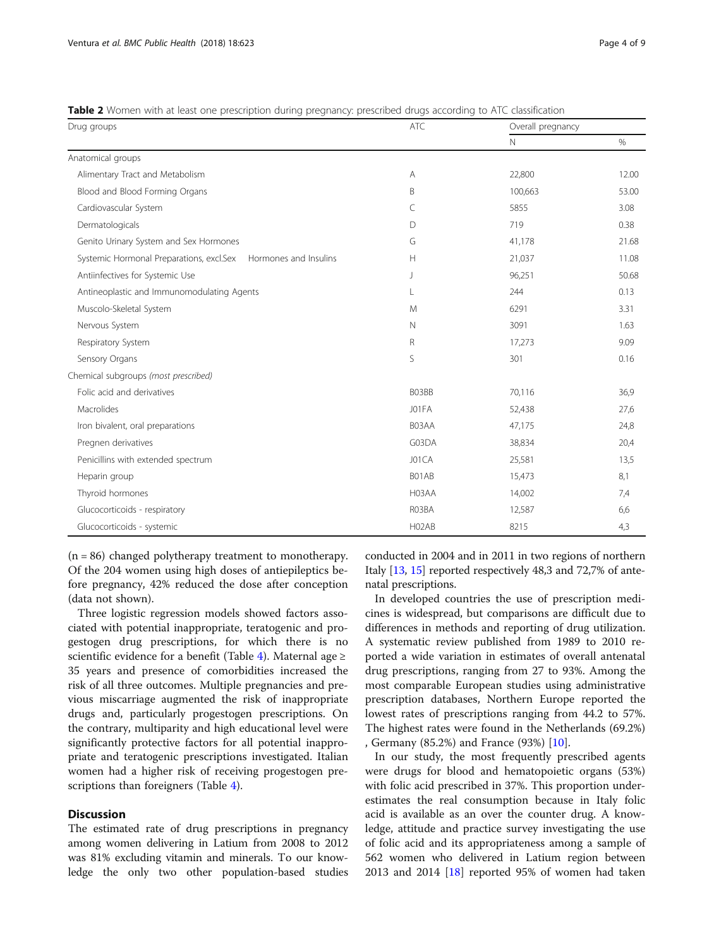| Drug groups                                                       | ATC         | Overall pregnancy |       |  |  |
|-------------------------------------------------------------------|-------------|-------------------|-------|--|--|
|                                                                   |             | $\mathbb N$       | %     |  |  |
| Anatomical groups                                                 |             |                   |       |  |  |
| Alimentary Tract and Metabolism                                   | Α           | 22,800            | 12.00 |  |  |
| Blood and Blood Forming Organs                                    | B           | 100,663           | 53.00 |  |  |
| Cardiovascular System                                             | C           | 5855              | 3.08  |  |  |
| Dermatologicals                                                   | $\bigcap$   | 719               | 0.38  |  |  |
| Genito Urinary System and Sex Hormones                            | G           | 41,178            | 21.68 |  |  |
| Systemic Hormonal Preparations, excl.Sex<br>Hormones and Insulins | H           | 21,037            | 11.08 |  |  |
| Antiinfectives for Systemic Use                                   |             | 96,251            | 50.68 |  |  |
| Antineoplastic and Immunomodulating Agents                        |             | 244               | 0.13  |  |  |
| Muscolo-Skeletal System                                           | M           | 6291              | 3.31  |  |  |
| Nervous System                                                    | $\mathbb N$ | 3091              | 1.63  |  |  |
| Respiratory System                                                | R           | 17,273            | 9.09  |  |  |
| Sensory Organs                                                    | S           | 301               | 0.16  |  |  |
| Chemical subgroups (most prescribed)                              |             |                   |       |  |  |
| Folic acid and derivatives                                        | B03BB       | 70,116            | 36,9  |  |  |
| Macrolides                                                        | J01FA       | 52,438            | 27,6  |  |  |
| Iron bivalent, oral preparations                                  | B03AA       | 47,175            | 24,8  |  |  |
| Pregnen derivatives                                               | G03DA       | 38,834            | 20,4  |  |  |
| Penicillins with extended spectrum                                | J01CA       | 25,581            | 13,5  |  |  |

Heparin group and the state of the state of the state of the B01AB 15,473 8,1 and the state of the state of the state of the state of the state of the state of the state of the state of the state of the state of the state Thyroid hormones **14,002** 7,4 Glucocorticoids - respiratory and the control of the control of the R03BA 12,587 6,6 Glucocorticoids - systemic and the systemic control of the systemic control of the systemic control of the systemic control of the systemic control of the systemic control of the systemic control of the systemic control of

<span id="page-3-0"></span>Table 2 Women with at least one prescription during pregnancy: prescribed drugs according to ATC classification

 $(n = 86)$  changed polytherapy treatment to monotherapy. Of the 204 women using high doses of antiepileptics before pregnancy, 42% reduced the dose after conception (data not shown).

Three logistic regression models showed factors associated with potential inappropriate, teratogenic and progestogen drug prescriptions, for which there is no scientific evidence for a benefit (Table [4\)](#page-5-0). Maternal age  $\geq$ 35 years and presence of comorbidities increased the risk of all three outcomes. Multiple pregnancies and previous miscarriage augmented the risk of inappropriate drugs and, particularly progestogen prescriptions. On the contrary, multiparity and high educational level were significantly protective factors for all potential inappropriate and teratogenic prescriptions investigated. Italian women had a higher risk of receiving progestogen pre-scriptions than foreigners (Table [4](#page-5-0)).

## **Discussion**

The estimated rate of drug prescriptions in pregnancy among women delivering in Latium from 2008 to 2012 was 81% excluding vitamin and minerals. To our knowledge the only two other population-based studies

conducted in 2004 and in 2011 in two regions of northern Italy [\[13,](#page-7-0) [15](#page-7-0)] reported respectively 48,3 and 72,7% of antenatal prescriptions.

In developed countries the use of prescription medicines is widespread, but comparisons are difficult due to differences in methods and reporting of drug utilization. A systematic review published from 1989 to 2010 reported a wide variation in estimates of overall antenatal drug prescriptions, ranging from 27 to 93%. Among the most comparable European studies using administrative prescription databases, Northern Europe reported the lowest rates of prescriptions ranging from 44.2 to 57%. The highest rates were found in the Netherlands (69.2%) , Germany (85.2%) and France (93%) [[10\]](#page-7-0).

In our study, the most frequently prescribed agents were drugs for blood and hematopoietic organs (53%) with folic acid prescribed in 37%. This proportion underestimates the real consumption because in Italy folic acid is available as an over the counter drug. A knowledge, attitude and practice survey investigating the use of folic acid and its appropriateness among a sample of 562 women who delivered in Latium region between 2013 and 2014 [\[18](#page-8-0)] reported 95% of women had taken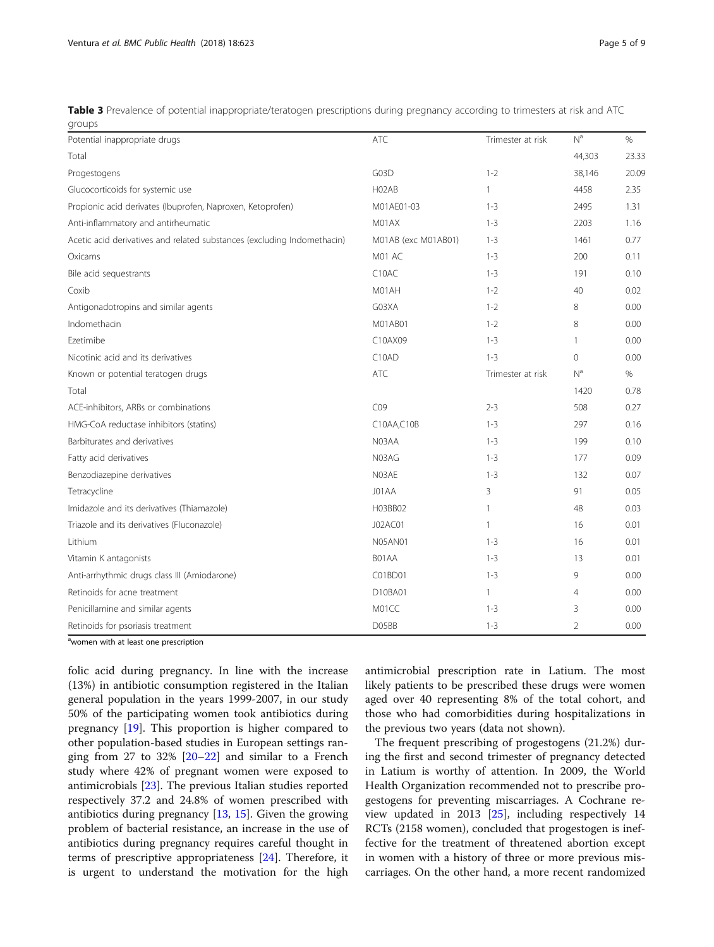<span id="page-4-0"></span>Table 3 Prevalence of potential inappropriate/teratogen prescriptions during pregnancy according to trimesters at risk and ATC groups

| Potential inappropriate drugs                                           | ATC                 | Trimester at risk | N <sup>a</sup> | $\%$  |
|-------------------------------------------------------------------------|---------------------|-------------------|----------------|-------|
| Total                                                                   |                     |                   | 44,303         | 23.33 |
| Progestogens                                                            | G03D                | $1 - 2$           | 38,146         | 20.09 |
| Glucocorticoids for systemic use                                        | H <sub>02</sub> AB  | $\mathbf{1}$      | 4458           | 2.35  |
| Propionic acid derivates (Ibuprofen, Naproxen, Ketoprofen)              | M01AE01-03          | $1 - 3$           | 2495           | 1.31  |
| Anti-inflammatory and antirheumatic                                     | M01AX               | $1 - 3$           | 2203           | 1.16  |
| Acetic acid derivatives and related substances (excluding Indomethacin) | M01AB (exc M01AB01) | $1 - 3$           | 1461           | 0.77  |
| Oxicams                                                                 | M01 AC              | $1 - 3$           | 200            | 0.11  |
| Bile acid sequestrants                                                  | C10AC               | $1 - 3$           | 191            | 0.10  |
| Coxib                                                                   | M01AH               | $1 - 2$           | 40             | 0.02  |
| Antigonadotropins and similar agents                                    | G03XA               | $1 - 2$           | 8              | 0.00  |
| Indomethacin                                                            | M01AB01             | $1 - 2$           | 8              | 0.00  |
| Ezetimibe                                                               | C10AX09             | $1 - 3$           | $\mathbf{1}$   | 0.00  |
| Nicotinic acid and its derivatives                                      | C10AD               | $1 - 3$           | $\Omega$       | 0.00  |
| Known or potential teratogen drugs                                      | ATC                 | Trimester at risk | N <sup>a</sup> | $\%$  |
| Total                                                                   |                     |                   | 1420           | 0.78  |
| ACE-inhibitors, ARBs or combinations                                    | CO9                 | $2 - 3$           | 508            | 0.27  |
| HMG-CoA reductase inhibitors (statins)                                  | C10AA,C10B          | $1 - 3$           | 297            | 0.16  |
| Barbiturates and derivatives                                            | N03AA               | $1 - 3$           | 199            | 0.10  |
| Fatty acid derivatives                                                  | N03AG               | $1 - 3$           | 177            | 0.09  |
| Benzodiazepine derivatives                                              | N03AE               | $1 - 3$           | 132            | 0.07  |
| Tetracycline                                                            | J01AA               | 3                 | 91             | 0.05  |
| Imidazole and its derivatives (Thiamazole)                              | H03BB02             | 1                 | 48             | 0.03  |
| Triazole and its derivatives (Fluconazole)                              | J02AC01             | 1                 | 16             | 0.01  |
| Lithium                                                                 | <b>N05AN01</b>      | $1 - 3$           | 16             | 0.01  |
| Vitamin K antagonists                                                   | B01AA               | $1 - 3$           | 13             | 0.01  |
| Anti-arrhythmic drugs class III (Amiodarone)                            | C01BD01             | $1 - 3$           | 9              | 0.00  |
| Retinoids for acne treatment                                            | D10BA01             | 1                 | 4              | 0.00  |
| Penicillamine and similar agents                                        | M01CC               | $1 - 3$           | 3              | 0.00  |
| Retinoids for psoriasis treatment                                       | D05BB               | $1 - 3$           | 2              | 0.00  |

<sup>a</sup>women with at least one prescription

folic acid during pregnancy. In line with the increase (13%) in antibiotic consumption registered in the Italian general population in the years 1999-2007, in our study 50% of the participating women took antibiotics during pregnancy [\[19\]](#page-8-0). This proportion is higher compared to other population-based studies in European settings ranging from 27 to 32% [[20](#page-8-0)–[22\]](#page-8-0) and similar to a French study where 42% of pregnant women were exposed to antimicrobials [[23\]](#page-8-0). The previous Italian studies reported respectively 37.2 and 24.8% of women prescribed with antibiotics during pregnancy [[13](#page-7-0), [15\]](#page-7-0). Given the growing problem of bacterial resistance, an increase in the use of antibiotics during pregnancy requires careful thought in terms of prescriptive appropriateness [\[24\]](#page-8-0). Therefore, it is urgent to understand the motivation for the high

antimicrobial prescription rate in Latium. The most likely patients to be prescribed these drugs were women aged over 40 representing 8% of the total cohort, and those who had comorbidities during hospitalizations in the previous two years (data not shown).

The frequent prescribing of progestogens (21.2%) during the first and second trimester of pregnancy detected in Latium is worthy of attention. In 2009, the World Health Organization recommended not to prescribe progestogens for preventing miscarriages. A Cochrane review updated in 2013 [\[25](#page-8-0)], including respectively 14 RCTs (2158 women), concluded that progestogen is ineffective for the treatment of threatened abortion except in women with a history of three or more previous miscarriages. On the other hand, a more recent randomized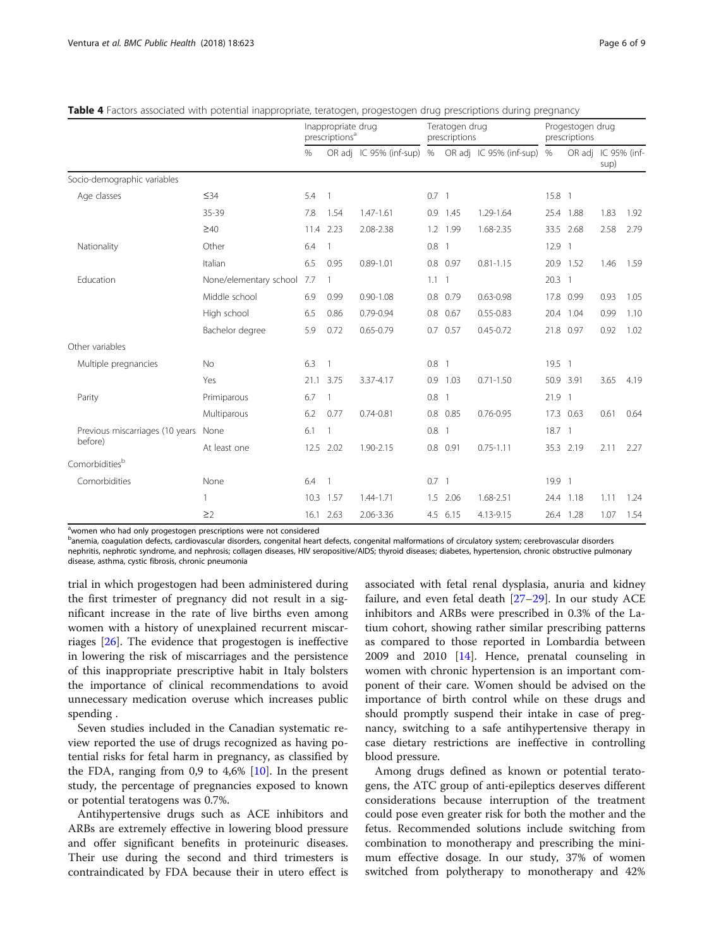|                                            |                        | Inappropriate drug<br>prescriptions <sup>a</sup> |                          | Teratogen drug<br>prescriptions |                  |                | Progestogen drug<br>prescriptions |                |                     |      |      |
|--------------------------------------------|------------------------|--------------------------------------------------|--------------------------|---------------------------------|------------------|----------------|-----------------------------------|----------------|---------------------|------|------|
|                                            |                        | $\%$                                             |                          | OR adj IC 95% (inf-sup) %       |                  |                | OR adj IC 95% (inf-sup)           | %              | OR adj IC 95% (inf- | sup) |      |
| Socio-demographic variables                |                        |                                                  |                          |                                 |                  |                |                                   |                |                     |      |      |
| Age classes                                | $\leq$ 34              | 5.4                                              | $\overline{1}$           |                                 | 0.7 <sub>1</sub> |                |                                   | 15.8 1         |                     |      |      |
|                                            | 35-39                  | 7.8                                              | 1.54                     | $1.47 - 1.61$                   | 0.9              | 1.45           | 1.29-1.64                         |                | 25.4 1.88           | 1.83 | 1.92 |
|                                            | $\geq 40$              |                                                  | 11.4 2.23                | 2.08-2.38                       | 1.2              | 1.99           | 1.68-2.35                         |                | 33.5 2.68           | 2.58 | 2.79 |
| Nationality                                | Other                  | 6.4                                              | $\overline{1}$           |                                 | 0.8              | $\overline{1}$ |                                   | $12.9$ 1       |                     |      |      |
|                                            | Italian                | 6.5                                              | 0.95                     | $0.89 - 1.01$                   |                  | 0.8 0.97       | $0.81 - 1.15$                     |                | 20.9 1.52           | 1.46 | 1.59 |
| Education                                  | None/elementary school | 7.7                                              | 1                        |                                 | $1.1 \quad 1$    |                |                                   | $20.3$ 1       |                     |      |      |
|                                            | Middle school          | 6.9                                              | 0.99                     | $0.90 - 1.08$                   |                  | 0.8 0.79       | $0.63 - 0.98$                     |                | 17.8 0.99           | 0.93 | 1.05 |
|                                            | High school            | 6.5                                              | 0.86                     | $0.79 - 0.94$                   |                  | $0.8$ 0.67     | $0.55 - 0.83$                     |                | 20.4 1.04           | 0.99 | 1.10 |
|                                            | Bachelor degree        | 5.9                                              | 0.72                     | $0.65 - 0.79$                   |                  | $0.7$ 0.57     | $0.45 - 0.72$                     |                | 21.8 0.97           | 0.92 | 1.02 |
| Other variables                            |                        |                                                  |                          |                                 |                  |                |                                   |                |                     |      |      |
| Multiple pregnancies                       | <b>No</b>              | 6.3                                              | $\overline{1}$           |                                 | $0.8 \quad 1$    |                |                                   | $19.5 \quad 1$ |                     |      |      |
|                                            | Yes                    | 21.1                                             | 3.75                     | 3.37-4.17                       |                  | $0.9$ 1.03     | $0.71 - 1.50$                     |                | 50.9 3.91           | 3.65 | 4.19 |
| Parity                                     | Primiparous            | 6.7                                              | $\mathbf{1}$             |                                 | $0.8$ 1          |                |                                   | $21.9$ 1       |                     |      |      |
|                                            | Multiparous            | 6.2                                              | 0.77                     | $0.74 - 0.81$                   |                  | $0.8$ 0.85     | $0.76 - 0.95$                     |                | 17.3 0.63           | 0.61 | 0.64 |
| Previous miscarriages (10 years<br>before) | None                   | 6.1                                              | $\mathbf{1}$             |                                 | $0.8$ 1          |                |                                   | $18.7-1$       |                     |      |      |
|                                            | At least one           |                                                  | 12.5 2.02                | 1.90-2.15                       |                  | 0.8 0.91       | $0.75 - 1.11$                     |                | 35.3 2.19           | 2.11 | 2.27 |
| Comorbiditiesb                             |                        |                                                  |                          |                                 |                  |                |                                   |                |                     |      |      |
| Comorbidities                              | None                   | 6.4                                              | $\overline{\phantom{0}}$ |                                 | 0.7 <sub>1</sub> |                |                                   | 19.9 1         |                     |      |      |
|                                            | $\mathbf{1}$           | 10.3                                             | 1.57                     | $1.44 - 1.71$                   | 1.5              | 2.06           | 1.68-2.51                         |                | 24.4 1.18           | 1.11 | 1.24 |
|                                            | $\geq$ 2               |                                                  | 16.1 2.63                | 2.06-3.36                       |                  | 4.5 6.15       | 4.13-9.15                         |                | 26.4 1.28           | 1.07 | 1.54 |

<span id="page-5-0"></span>Table 4 Factors associated with potential inappropriate, teratogen, progestogen drug prescriptions during pregnancy

<sup>a</sup>women who had only progestogen prescriptions were not considered

b<br>anemia, coagulation defects, cardiovascular disorders, congenital heart defects, congenital malformations of circulatory system; cerebrovascular disorders nephritis, nephrotic syndrome, and nephrosis; collagen diseases, HIV seropositive/AIDS; thyroid diseases; diabetes, hypertension, chronic obstructive pulmonary disease, asthma, cystic fibrosis, chronic pneumonia

trial in which progestogen had been administered during the first trimester of pregnancy did not result in a significant increase in the rate of live births even among women with a history of unexplained recurrent miscarriages [\[26\]](#page-8-0). The evidence that progestogen is ineffective in lowering the risk of miscarriages and the persistence of this inappropriate prescriptive habit in Italy bolsters the importance of clinical recommendations to avoid unnecessary medication overuse which increases public spending .

Seven studies included in the Canadian systematic review reported the use of drugs recognized as having potential risks for fetal harm in pregnancy, as classified by the FDA, ranging from  $0.9$  to  $4.6\%$  [[10\]](#page-7-0). In the present study, the percentage of pregnancies exposed to known or potential teratogens was 0.7%.

Antihypertensive drugs such as ACE inhibitors and ARBs are extremely effective in lowering blood pressure and offer significant benefits in proteinuric diseases. Their use during the second and third trimesters is contraindicated by FDA because their in utero effect is associated with fetal renal dysplasia, anuria and kidney failure, and even fetal death [[27](#page-8-0)–[29](#page-8-0)]. In our study ACE inhibitors and ARBs were prescribed in 0.3% of the Latium cohort, showing rather similar prescribing patterns as compared to those reported in Lombardia between 2009 and 2010  $[14]$  $[14]$ . Hence, prenatal counseling in women with chronic hypertension is an important component of their care. Women should be advised on the importance of birth control while on these drugs and should promptly suspend their intake in case of pregnancy, switching to a safe antihypertensive therapy in case dietary restrictions are ineffective in controlling blood pressure.

Among drugs defined as known or potential teratogens, the ATC group of anti-epileptics deserves different considerations because interruption of the treatment could pose even greater risk for both the mother and the fetus. Recommended solutions include switching from combination to monotherapy and prescribing the minimum effective dosage. In our study, 37% of women switched from polytherapy to monotherapy and 42%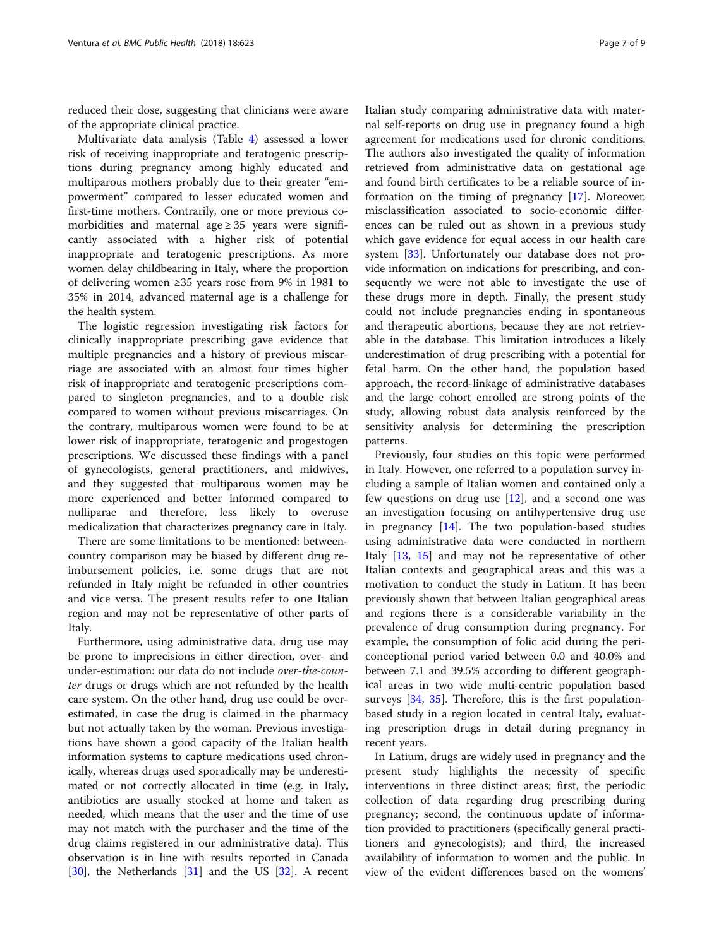reduced their dose, suggesting that clinicians were aware of the appropriate clinical practice.

Multivariate data analysis (Table [4](#page-5-0)) assessed a lower risk of receiving inappropriate and teratogenic prescriptions during pregnancy among highly educated and multiparous mothers probably due to their greater "empowerment" compared to lesser educated women and first-time mothers. Contrarily, one or more previous comorbidities and maternal age  $\geq$  35 years were significantly associated with a higher risk of potential inappropriate and teratogenic prescriptions. As more women delay childbearing in Italy, where the proportion of delivering women ≥35 years rose from 9% in 1981 to 35% in 2014, advanced maternal age is a challenge for the health system.

The logistic regression investigating risk factors for clinically inappropriate prescribing gave evidence that multiple pregnancies and a history of previous miscarriage are associated with an almost four times higher risk of inappropriate and teratogenic prescriptions compared to singleton pregnancies, and to a double risk compared to women without previous miscarriages. On the contrary, multiparous women were found to be at lower risk of inappropriate, teratogenic and progestogen prescriptions. We discussed these findings with a panel of gynecologists, general practitioners, and midwives, and they suggested that multiparous women may be more experienced and better informed compared to nulliparae and therefore, less likely to overuse medicalization that characterizes pregnancy care in Italy.

There are some limitations to be mentioned: betweencountry comparison may be biased by different drug reimbursement policies, i.e. some drugs that are not refunded in Italy might be refunded in other countries and vice versa. The present results refer to one Italian region and may not be representative of other parts of Italy.

Furthermore, using administrative data, drug use may be prone to imprecisions in either direction, over- and under-estimation: our data do not include over-the-counter drugs or drugs which are not refunded by the health care system. On the other hand, drug use could be overestimated, in case the drug is claimed in the pharmacy but not actually taken by the woman. Previous investigations have shown a good capacity of the Italian health information systems to capture medications used chronically, whereas drugs used sporadically may be underestimated or not correctly allocated in time (e.g. in Italy, antibiotics are usually stocked at home and taken as needed, which means that the user and the time of use may not match with the purchaser and the time of the drug claims registered in our administrative data). This observation is in line with results reported in Canada [[30\]](#page-8-0), the Netherlands  $[31]$  and the US  $[32]$  $[32]$ . A recent

Italian study comparing administrative data with maternal self-reports on drug use in pregnancy found a high agreement for medications used for chronic conditions. The authors also investigated the quality of information retrieved from administrative data on gestational age and found birth certificates to be a reliable source of information on the timing of pregnancy [\[17](#page-8-0)]. Moreover, misclassification associated to socio-economic differences can be ruled out as shown in a previous study which gave evidence for equal access in our health care system [\[33\]](#page-8-0). Unfortunately our database does not provide information on indications for prescribing, and consequently we were not able to investigate the use of these drugs more in depth. Finally, the present study could not include pregnancies ending in spontaneous and therapeutic abortions, because they are not retrievable in the database. This limitation introduces a likely underestimation of drug prescribing with a potential for fetal harm. On the other hand, the population based approach, the record-linkage of administrative databases and the large cohort enrolled are strong points of the study, allowing robust data analysis reinforced by the sensitivity analysis for determining the prescription patterns.

Previously, four studies on this topic were performed in Italy. However, one referred to a population survey including a sample of Italian women and contained only a few questions on drug use  $[12]$  $[12]$  $[12]$ , and a second one was an investigation focusing on antihypertensive drug use in pregnancy [[14\]](#page-7-0). The two population-based studies using administrative data were conducted in northern Italy [[13,](#page-7-0) [15\]](#page-7-0) and may not be representative of other Italian contexts and geographical areas and this was a motivation to conduct the study in Latium. It has been previously shown that between Italian geographical areas and regions there is a considerable variability in the prevalence of drug consumption during pregnancy. For example, the consumption of folic acid during the periconceptional period varied between 0.0 and 40.0% and between 7.1 and 39.5% according to different geographical areas in two wide multi-centric population based surveys [\[34](#page-8-0), [35](#page-8-0)]. Therefore, this is the first populationbased study in a region located in central Italy, evaluating prescription drugs in detail during pregnancy in recent years.

In Latium, drugs are widely used in pregnancy and the present study highlights the necessity of specific interventions in three distinct areas; first, the periodic collection of data regarding drug prescribing during pregnancy; second, the continuous update of information provided to practitioners (specifically general practitioners and gynecologists); and third, the increased availability of information to women and the public. In view of the evident differences based on the womens'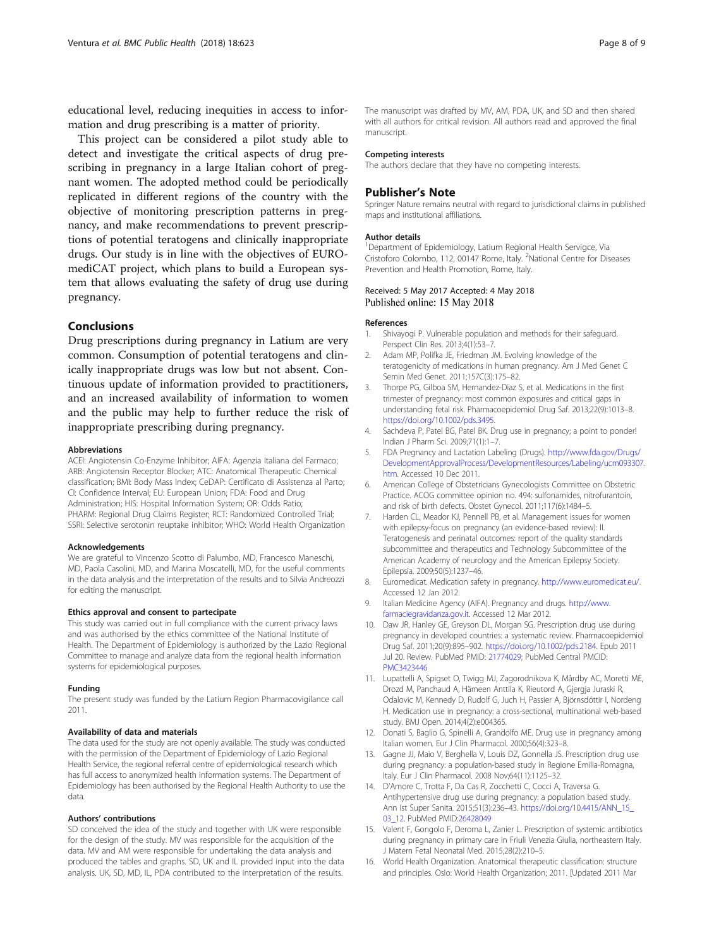<span id="page-7-0"></span>educational level, reducing inequities in access to information and drug prescribing is a matter of priority.

This project can be considered a pilot study able to detect and investigate the critical aspects of drug prescribing in pregnancy in a large Italian cohort of pregnant women. The adopted method could be periodically replicated in different regions of the country with the objective of monitoring prescription patterns in pregnancy, and make recommendations to prevent prescriptions of potential teratogens and clinically inappropriate drugs. Our study is in line with the objectives of EUROmediCAT project, which plans to build a European system that allows evaluating the safety of drug use during pregnancy.

### Conclusions

Drug prescriptions during pregnancy in Latium are very common. Consumption of potential teratogens and clinically inappropriate drugs was low but not absent. Continuous update of information provided to practitioners, and an increased availability of information to women and the public may help to further reduce the risk of inappropriate prescribing during pregnancy.

#### Abbreviations

ACEI: Angiotensin Co-Enzyme Inhibitor; AIFA: Agenzia Italiana del Farmaco; ARB: Angiotensin Receptor Blocker; ATC: Anatomical Therapeutic Chemical classification; BMI: Body Mass Index; CeDAP: Certificato di Assistenza al Parto; CI: Confidence Interval; EU: European Union; FDA: Food and Drug Administration; HIS: Hospital Information System; OR: Odds Ratio; PHARM: Regional Drug Claims Register; RCT: Randomized Controlled Trial; SSRI: Selective serotonin reuptake inhibitor; WHO: World Health Organization

#### Acknowledgements

We are grateful to Vincenzo Scotto di Palumbo, MD, Francesco Maneschi, MD, Paola Casolini, MD, and Marina Moscatelli, MD, for the useful comments in the data analysis and the interpretation of the results and to Silvia Andreozzi for editing the manuscript.

#### Ethics approval and consent to partecipate

This study was carried out in full compliance with the current privacy laws and was authorised by the ethics committee of the National Institute of Health. The Department of Epidemiology is authorized by the Lazio Regional Committee to manage and analyze data from the regional health information systems for epidemiological purposes.

#### Funding

The present study was funded by the Latium Region Pharmacovigilance call 2011.

#### Availability of data and materials

The data used for the study are not openly available. The study was conducted with the permission of the Department of Epidemiology of Lazio Regional Health Service, the regional referral centre of epidemiological research which has full access to anonymized health information systems. The Department of Epidemiology has been authorised by the Regional Health Authority to use the data.

#### Authors' contributions

SD conceived the idea of the study and together with UK were responsible for the design of the study. MV was responsible for the acquisition of the data. MV and AM were responsible for undertaking the data analysis and produced the tables and graphs. SD, UK and IL provided input into the data analysis. UK, SD, MD, IL, PDA contributed to the interpretation of the results.

The manuscript was drafted by MV, AM, PDA, UK, and SD and then shared with all authors for critical revision. All authors read and approved the final manuscript.

#### Competing interests

The authors declare that they have no competing interests.

#### Publisher's Note

Springer Nature remains neutral with regard to jurisdictional claims in published maps and institutional affiliations.

#### Author details

<sup>1</sup>Department of Epidemiology, Latium Regional Health Servigce, Via Cristoforo Colombo, 112, 00147 Rome, Italy. <sup>2</sup>National Centre for Diseases Prevention and Health Promotion, Rome, Italy.

#### Received: 5 May 2017 Accepted: 4 May 2018 Published online: 15 May 2018

#### References

- Shivayogi P. Vulnerable population and methods for their safeguard. Perspect Clin Res. 2013;4(1):53–7.
- 2. Adam MP, Polifka JE, Friedman JM. Evolving knowledge of the teratogenicity of medications in human pregnancy. Am J Med Genet C Semin Med Genet. 2011;157C(3):175–82.
- 3. Thorpe PG, Gilboa SM, Hernandez-Diaz S, et al. Medications in the first trimester of pregnancy: most common exposures and critical gaps in understanding fetal risk. Pharmacoepidemiol Drug Saf. 2013;22(9):1013–8. <https://doi.org/10.1002/pds.3495>.
- 4. Sachdeva P, Patel BG, Patel BK. Drug use in pregnancy; a point to ponder! Indian J Pharm Sci. 2009;71(1):1–7.
- 5. FDA Pregnancy and Lactation Labeling (Drugs). [http://www.fda.gov/Drugs/](http://www.fda.gov/Drugs/DevelopmentApprovalProcess/DevelopmentResources/Labeling/ucm093307.htm) [DevelopmentApprovalProcess/DevelopmentResources/Labeling/ucm093307.](http://www.fda.gov/Drugs/DevelopmentApprovalProcess/DevelopmentResources/Labeling/ucm093307.htm) [htm](http://www.fda.gov/Drugs/DevelopmentApprovalProcess/DevelopmentResources/Labeling/ucm093307.htm). Accessed 10 Dec 2011.
- 6. American College of Obstetricians Gynecologists Committee on Obstetric Practice. ACOG committee opinion no. 494: sulfonamides, nitrofurantoin, and risk of birth defects. Obstet Gynecol. 2011;117(6):1484–5.
- 7. Harden CL, Meador KJ, Pennell PB, et al. Management issues for women with epilepsy-focus on pregnancy (an evidence-based review): II. Teratogenesis and perinatal outcomes: report of the quality standards subcommittee and therapeutics and Technology Subcommittee of the American Academy of neurology and the American Epilepsy Society. Epilepsia. 2009;50(5):1237–46.
- 8. Euromedicat. Medication safety in pregnancy. <http://www.euromedicat.eu/>. Accessed 12 Jan 2012.
- 9. Italian Medicine Agency (AIFA). Pregnancy and drugs. [http://www.](http://www.farmaciegravidanza.gov.it) [farmaciegravidanza.gov.it](http://www.farmaciegravidanza.gov.it). Accessed 12 Mar 2012.
- 10. Daw JR, Hanley GE, Greyson DL, Morgan SG. Prescription drug use during pregnancy in developed countries: a systematic review. Pharmacoepidemiol Drug Saf. 2011;20(9):895–902. <https://doi.org/10.1002/pds.2184>. Epub 2011 Jul 20. Review. PubMed PMID: [21774029;](https://www.ncbi.nlm.nih.gov/pubmed/21774029) PubMed Central PMCID: [PMC3423446](https://www.ncbi.nlm.nih.gov/pubmed/PMC3423446)
- 11. Lupattelli A, Spigset O, Twigg MJ, Zagorodnikova K, Mårdby AC, Moretti ME, Drozd M, Panchaud A, Hämeen Anttila K, Rieutord A, Gjergja Juraski R, Odalovic M, Kennedy D, Rudolf G, Juch H, Passier A, Björnsdóttir I, Nordeng H. Medication use in pregnancy: a cross-sectional, multinational web-based study. BMJ Open. 2014;4(2):e004365.
- 12. Donati S, Baglio G, Spinelli A, Grandolfo ME. Drug use in pregnancy among Italian women. Eur J Clin Pharmacol. 2000;56(4):323–8.
- 13. Gagne JJ, Maio V, Berghella V, Louis DZ, Gonnella JS. Prescription drug use during pregnancy: a population-based study in Regione Emilia-Romagna, Italy. Eur J Clin Pharmacol. 2008 Nov;64(11):1125–32.
- 14. D'Amore C, Trotta F, Da Cas R, Zocchetti C, Cocci A, Traversa G. Antihypertensive drug use during pregnancy: a population based study. Ann Ist Super Sanita. 2015;51(3):236–43. [https://doi.org/10.4415/ANN\\_15\\_](https://doi.org/10.4415/ANN_15_03_12) [03\\_12.](https://doi.org/10.4415/ANN_15_03_12) PubMed PMID:[26428049](https://www.ncbi.nlm.nih.gov/pubmed/26428049)
- 15. Valent F, Gongolo F, Deroma L, Zanier L. Prescription of systemic antibiotics during pregnancy in primary care in Friuli Venezia Giulia, northeastern Italy. J Matern Fetal Neonatal Med. 2015;28(2):210–5.
- 16. World Health Organization. Anatomical therapeutic classification: structure and principles. Oslo: World Health Organization; 2011. [Updated 2011 Mar